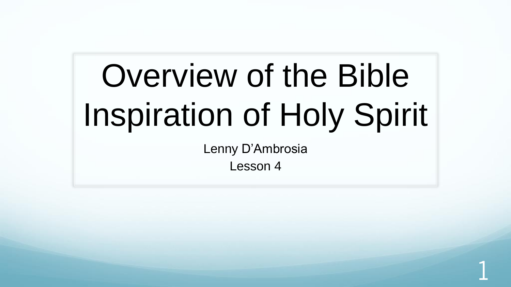# Overview of the Bible Inspiration of Holy Spirit

Lenny D'Ambrosia

Lesson 4

1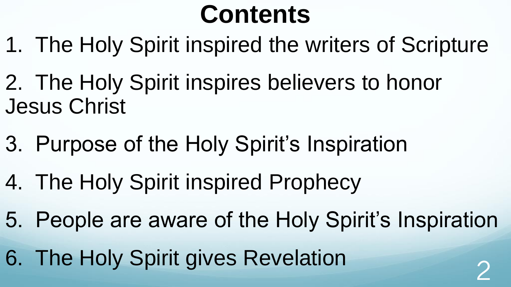## **Contents**

- 1. The Holy Spirit inspired the writers of Scripture
- 2. The Holy Spirit inspires believers to honor Jesus Christ
- 3. Purpose of the Holy Spirit's Inspiration
- 4. The Holy Spirit inspired Prophecy
- 5. People are aware of the Holy Spirit's Inspiration
- 6. The Holy Spirit gives Revelation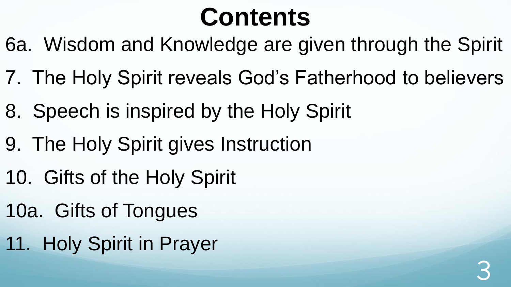## **Contents**

- 6a. Wisdom and Knowledge are given through the Spirit
- 7. The Holy Spirit reveals God's Fatherhood to believers
- 8. Speech is inspired by the Holy Spirit
- 9. The Holy Spirit gives Instruction
- 10. Gifts of the Holy Spirit
- 10a. Gifts of Tongues
- 11. Holy Spirit in Prayer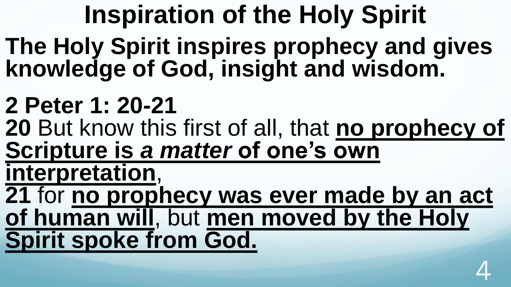**Inspiration of the Holy Spirit The Holy Spirit inspires prophecy and gives knowledge of God, insight and wisdom.** 

- **2 Peter 1: 20-21**
- **20** But know this first of all, that **no prophecy of Scripture is** *a matter* **of one's own**
- **interpretation**,
- **21** for **no prophecy was ever made by an act of human will**, but **men moved by the Holy Spirit spoke from God.**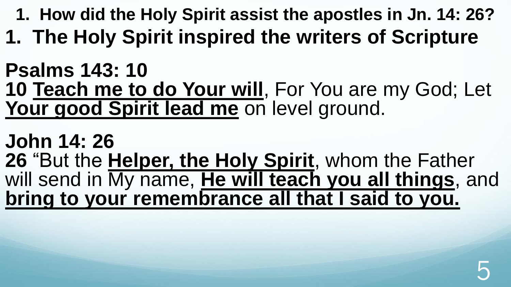- **1. How did the Holy Spirit assist the apostles in Jn. 14: 26?**
- **1. The Holy Spirit inspired the writers of Scripture**

#### **Psalms 143: 10 10 Teach me to do Your will**, For You are my God; Let **Your good Spirit lead me** on level ground.

**John 14: 26 26** "But the **Helper, the Holy Spirit**, whom the Father will send in My name, **He will teach you all things**, and **bring to your remembrance all that I said to you.**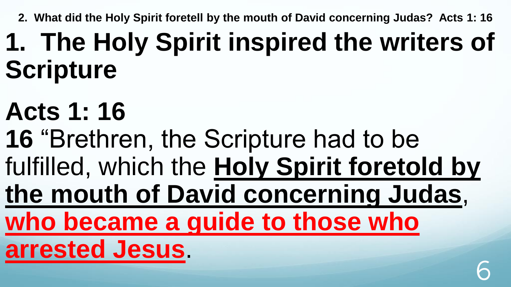**2. What did the Holy Spirit foretell by the mouth of David concerning Judas? Acts 1: 16**

## **1. The Holy Spirit inspired the writers of Scripture**

# **Acts 1: 16**

- **16** "Brethren, the Scripture had to be
- fulfilled, which the **Holy Spirit foretold by**
- **the mouth of David concerning Judas**,
- **who became a guide to those who**
- **arrested Jesus**.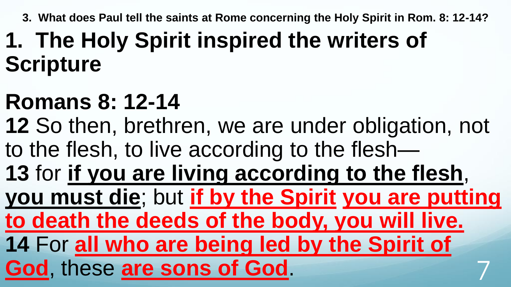**3. What does Paul tell the saints at Rome concerning the Holy Spirit in Rom. 8: 12-14?**

### **1. The Holy Spirit inspired the writers of Scripture**

### **Romans 8: 12-14**

**12** So then, brethren, we are under obligation, not to the flesh, to live according to the flesh—

**13** for **if you are living according to the flesh**,

**you must die**; but **if by the Spirit you are putting** 

**to death the deeds of the body, you will live.**

**14** For **all who are being led by the Spirit of** 

**God**, these **are sons of God**. 7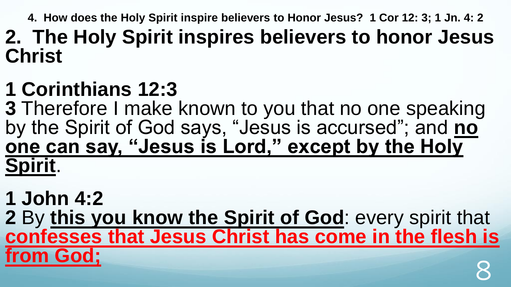**4. How does the Holy Spirit inspire believers to Honor Jesus? 1 Cor 12: 3; 1 Jn. 4: 2**

#### **2. The Holy Spirit inspires believers to honor Jesus Christ**

#### **1 Corinthians 12:3**

**3** Therefore I make known to you that no one speaking by the Spirit of God says, "Jesus is accursed"; and **no one can say, "Jesus is Lord," except by the Holy Spirit**.

#### **1 John 4:2**

**2** By **this you know the Spirit of God**: every spirit that **confesses that Jesus Christ has come in the flesh is from God;** 8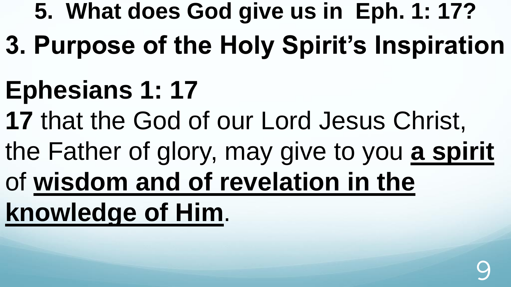- **5. What does God give us in Eph. 1: 17?**
- **3. Purpose of the Holy Spirit's Inspiration**
- **Ephesians 1: 17**
- **17** that the God of our Lord Jesus Christ,
- the Father of glory, may give to you **a spirit**
- of **wisdom and of revelation in the**

**knowledge of Him**.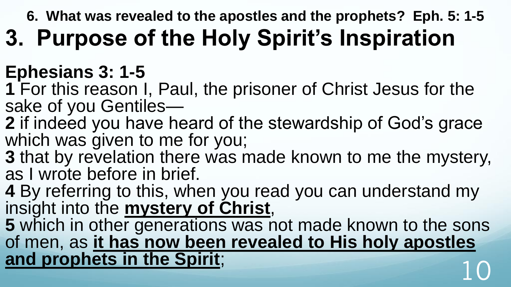**6. What was revealed to the apostles and the prophets? Eph. 5: 1-5**

### **3. Purpose of the Holy Spirit's Inspiration**

#### **Ephesians 3: 1-5**

- **1** For this reason I, Paul, the prisoner of Christ Jesus for the sake of you Gentiles—
- **2** if indeed you have heard of the stewardship of God's grace which was given to me for you;
- **3** that by revelation there was made known to me the mystery, as I wrote before in brief.
- **4** By referring to this, when you read you can understand my insight into the **mystery of Christ**,
- **5** which in other generations was not made known to the sons of men, as **it has now been revealed to His holy apostles and prophets in the Spirit**; 10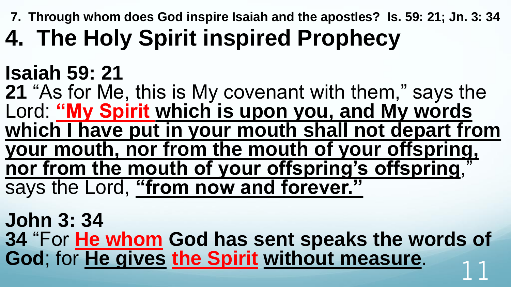**7. Through whom does God inspire Isaiah and the apostles? Is. 59: 21; Jn. 3: 34**

## **4. The Holy Spirit inspired Prophecy**

#### **Isaiah 59: 21**

**21** "As for Me, this is My covenant with them," says the Lord: **"My Spirit which is upon you, and My words which I have put in your mouth shall not depart from your mouth, nor from the mouth of your offspring, nor from the mouth of your offspring's offspring**," says the Lord, **"from now and forever."**

**John 3: 34 34** "For **He whom God has sent speaks the words of God**; for **He gives the Spirit without measure**. 11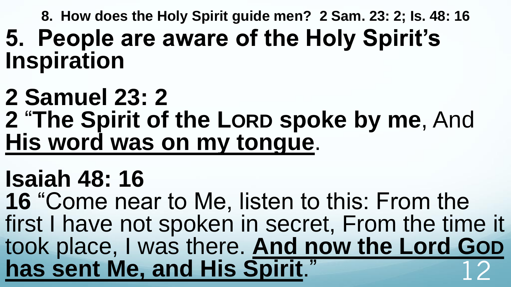**8. How does the Holy Spirit guide men? 2 Sam. 23: 2; Is. 48: 16 5. People are aware of the Holy Spirit's Inspiration**

#### **2 Samuel 23: 2 2** "**The Spirit of the LORD spoke by me**, And

**His word was on my tongue**.

### **Isaiah 48: 16**

**16** "Come near to Me, listen to this: From the first I have not spoken in secret, From the time it took place, I was there. **And now the Lord GOD** has sent Me, and His Spirit."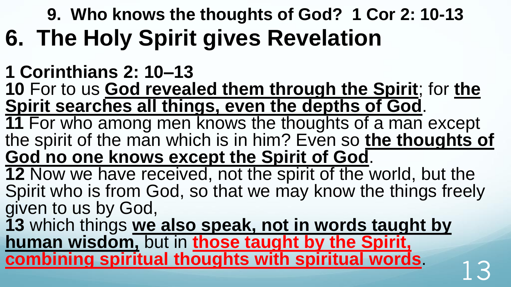#### **9. Who knows the thoughts of God? 1 Cor 2: 10-13 6. The Holy Spirit gives Revelation**

#### **1 Corinthians 2: 10–13**

**10** For to us **God revealed them through the Spirit**; for **the Spirit searches all things, even the depths of God**.

**11** For who among men knows the thoughts of a man except the spirit of the man which is in him? Even so **the thoughts of God no one knows except the Spirit of God**.

**12** Now we have received, not the spirit of the world, but the Spirit who is from God, so that we may know the things freely given to us by God,

**13** which things **we also speak, not in words taught by human wisdom,** but in **those taught by the Spirit, <u>combining spiritual thoughts with spiritual words</u> and**  $\frac{1}{3}$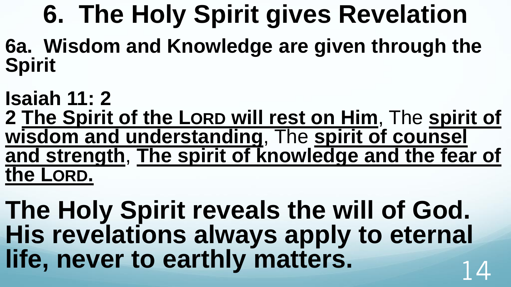# **6. The Holy Spirit gives Revelation**

**6a. Wisdom and Knowledge are given through the Spirit**

**Isaiah 11: 2 2 The Spirit of the LORD will rest on Him**, The **spirit of wisdom and understanding**, The **spirit of counsel and strength**, **The spirit of knowledge and the fear of the LORD.** 

**The Holy Spirit reveals the will of God. His revelations always apply to eternal life, never to earthly matters.**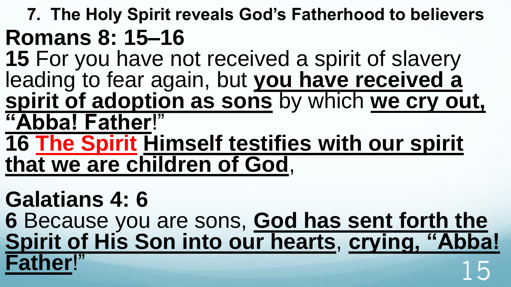#### **7. The Holy Spirit reveals God's Fatherhood to believers Romans 8: 15–16**

- **15** For you have not received a spirit of slavery leading to fear again, but **you have received a spirit of adoption as sons** by which **we cry out, "Abba! Father**!"
- **16 The Spirit Himself testifies with our spirit that we are children of God**,

**Galatians 4: 6 6** Because you are sons, **God has sent forth the Spirit of His Son into our hearts**, **crying, "Abba! Father!"** 15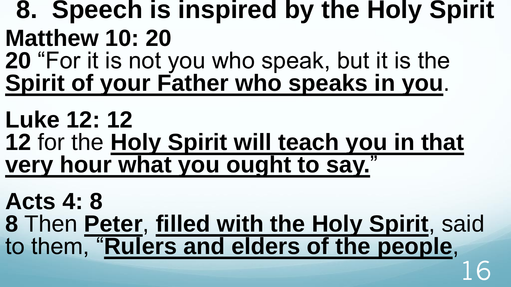- **8. Speech is inspired by the Holy Spirit Matthew 10: 20 20** "For it is not you who speak, but it is the
- **Spirit of your Father who speaks in you**.
- **Luke 12: 12 12** for the **Holy Spirit will teach you in that very hour what you ought to say.**"
- **Acts 4: 8 8** Then **Peter**, **filled with the Holy Spirit**, said to them, "**Rulers and elders of the people**, 16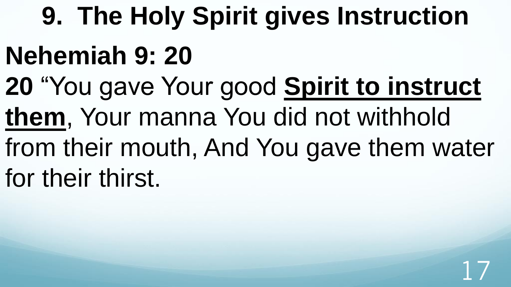# **9. The Holy Spirit gives Instruction**

### **Nehemiah 9: 20**

- **20** "You gave Your good **Spirit to instruct**
- **them**, Your manna You did not withhold
- from their mouth, And You gave them water for their thirst.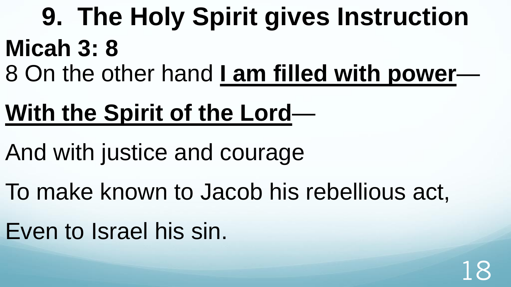**9. The Holy Spirit gives Instruction Micah 3: 8**  8 On the other hand **I am filled with power**—

### **With the Spirit of the Lord**—

And with justice and courage

To make known to Jacob his rebellious act,

Even to Israel his sin.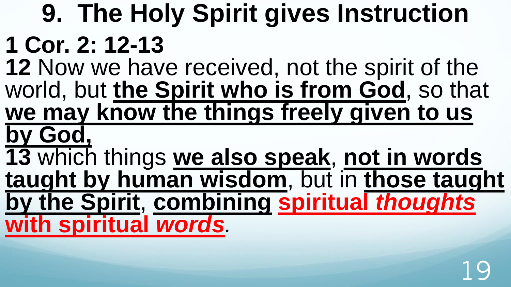#### **9. The Holy Spirit gives Instruction 1 Cor. 2: 12-13 12** Now we have received, not the spirit of the world, but **the Spirit who is from God**, so that **we may know the things freely given to us by God, 13** which things **we also speak**, **not in words taught by human wisdom**, but in **those taught by the Spirit**, **combining spiritual** *thoughts* **with spiritual** *words.*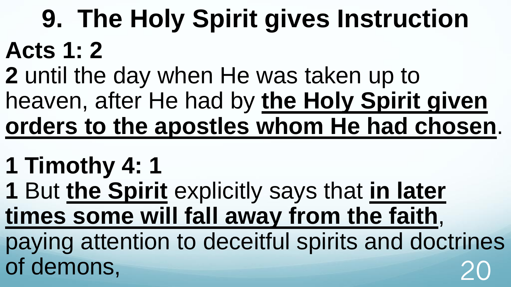# **9. The Holy Spirit gives Instruction Acts 1: 2**

- **2** until the day when He was taken up to heaven, after He had by **the Holy Spirit given orders to the apostles whom He had chosen**.
- **1 Timothy 4: 1**
- **1** But **the Spirit** explicitly says that **in later times some will fall away from the faith**, paying attention to deceitful spirits and doctrines of demons,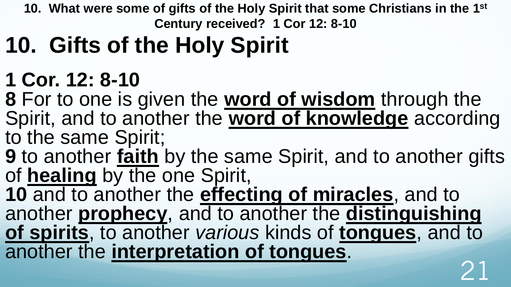**10. What were some of gifts of the Holy Spirit that some Christians in the 1st Century received? 1 Cor 12: 8-10**

## **10. Gifts of the Holy Spirit**

#### **1 Cor. 12: 8-10**

**8** For to one is given the **word of wisdom** through the Spirit, and to another the **word of knowledge** according to the same Spirit;

**9** to another **faith** by the same Spirit, and to another gifts of **healing** by the one Spirit,

**10** and to another the **effecting of miracles**, and to another **prophecy**, and to another the **distinguishing of spirits**, to another *various* kinds of **tongues**, and to another the **interpretation of tongues**. 21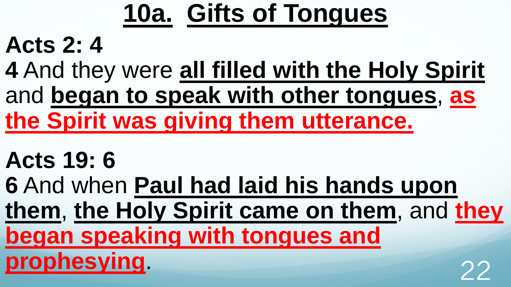# **10a. Gifts of Tongues**

### **Acts 2: 4**

**4** And they were **all filled with the Holy Spirit**  and **began to speak with other tongues**, **as the Spirit was giving them utterance.** 

### **Acts 19: 6**

**6** And when **Paul had laid his hands upon** 

**them**, **the Holy Spirit came on them**, and **they** 

**began speaking with tongues and** 

**prophesying**. 22

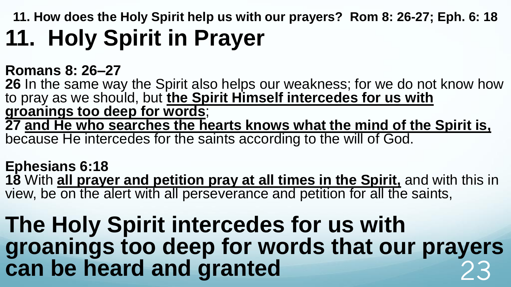**11. How does the Holy Spirit help us with our prayers? Rom 8: 26-27; Eph. 6: 18 11. Holy Spirit in Prayer**

#### **Romans 8: 26–27**

**26** In the same way the Spirit also helps our weakness; for we do not know how to pray as we should, but **the Spirit Himself intercedes for us with groanings too deep for words**; **27 and He who searches the hearts knows what the mind of the Spirit is,** because He intercedes for the saints according to the will of God.

#### **Ephesians 6:18**

**18** With **all prayer and petition pray at all times in the Spirit,** and with this in view, be on the alert with all perseverance and petition for all the saints,

#### **The Holy Spirit intercedes for us with groanings too deep for words that our prayers**  can be heard and granted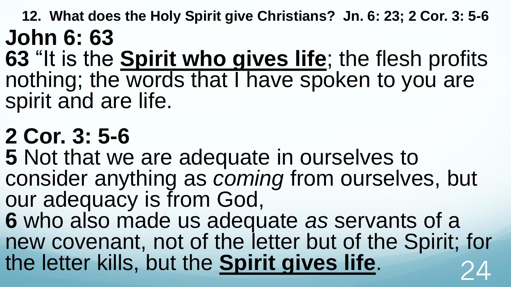**12. What does the Holy Spirit give Christians? Jn. 6: 23; 2 Cor. 3: 5-6 John 6: 63** 

**63** "It is the **Spirit who gives life**; the flesh profits nothing; the words that I have spoken to you are spirit and are life.

### **2 Cor. 3: 5-6**

**5** Not that we are adequate in ourselves to consider anything as *coming* from ourselves, but our adequacy is from God,

**6** who also made us adequate *as* servants of a new covenant, not of the letter but of the Spirit; for the letter kills, but the **Spirit gives life**.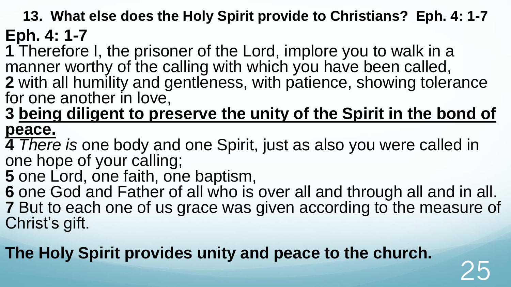**13. What else does the Holy Spirit provide to Christians? Eph. 4: 1-7**

**Eph. 4: 1-7** 

**1** Therefore I, the prisoner of the Lord, implore you to walk in a manner worthy of the calling with which you have been called, **2** with all humility and gentleness, with patience, showing tolerance

for one another in love,

**3 being diligent to preserve the unity of the Spirit in the bond of peace.** 

**4** *There is* one body and one Spirit, just as also you were called in one hope of your calling;

**5** one Lord, one faith, one baptism,

**6** one God and Father of all who is over all and through all and in all. **7** But to each one of us grace was given according to the measure of Christ's gift.

25

**The Holy Spirit provides unity and peace to the church.**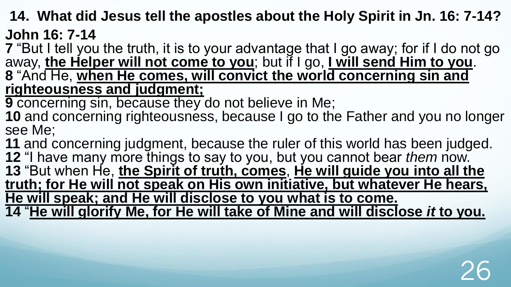**14. What did Jesus tell the apostles about the Holy Spirit in Jn. 16: 7-14? John 16: 7-14** 

**7** "But I tell you the truth, it is to your advantage that I go away; for if I do not go away, **the Helper will not come to you**; but if I go, **I will send Him to you**. **8** "And He, **when He comes, will convict the world concerning sin and righteousness and judgment;** 

**9** concerning sin, because they do not believe in Me;

10 and concerning righteousness, because I go to the Father and you no longer see Me;

 and concerning judgment, because the ruler of this world has been judged. "I have many more things to say to you, but you cannot bear *them* now. "But when He, **the Spirit of truth, comes**, **He will guide you into all the truth; for He will not speak on His own initiative, but whatever He hears, He will speak; and He will disclose to you what is to come.**  "**He will glorify Me, for He will take of Mine and will disclose** *it* **to you.**